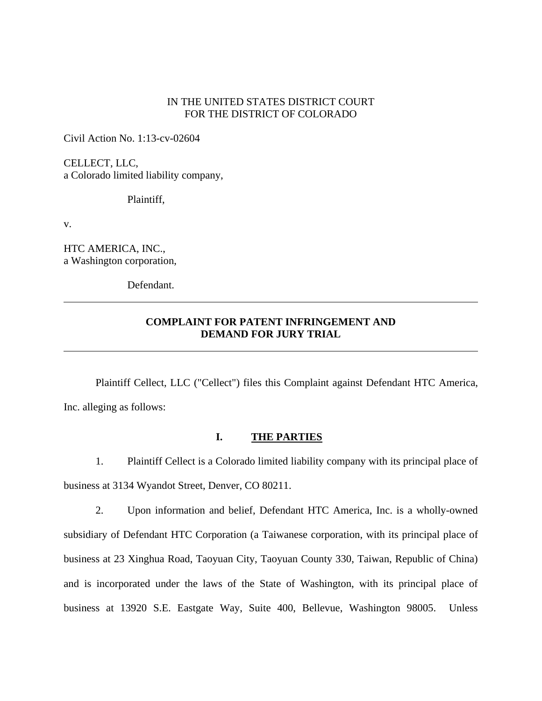### IN THE UNITED STATES DISTRICT COURT FOR THE DISTRICT OF COLORADO

Civil Action No. 1:13-cv-02604

CELLECT, LLC, a Colorado limited liability company,

Plaintiff,

v.

 $\overline{a}$ 

 $\overline{a}$ 

HTC AMERICA, INC., a Washington corporation,

Defendant.

# **COMPLAINT FOR PATENT INFRINGEMENT AND DEMAND FOR JURY TRIAL**

 Plaintiff Cellect, LLC ("Cellect") files this Complaint against Defendant HTC America, Inc. alleging as follows:

#### **I. THE PARTIES**

1. Plaintiff Cellect is a Colorado limited liability company with its principal place of business at 3134 Wyandot Street, Denver, CO 80211.

2. Upon information and belief, Defendant HTC America, Inc. is a wholly-owned subsidiary of Defendant HTC Corporation (a Taiwanese corporation, with its principal place of business at 23 Xinghua Road, Taoyuan City, Taoyuan County 330, Taiwan, Republic of China) and is incorporated under the laws of the State of Washington, with its principal place of business at 13920 S.E. Eastgate Way, Suite 400, Bellevue, Washington 98005. Unless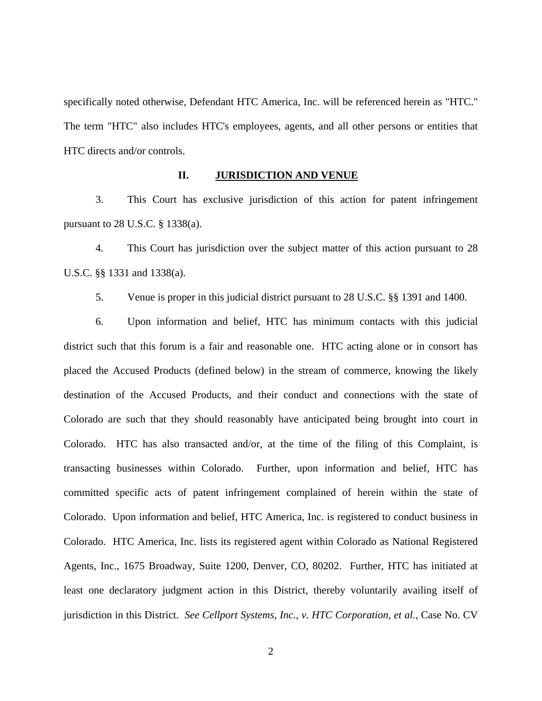specifically noted otherwise, Defendant HTC America, Inc. will be referenced herein as "HTC." The term "HTC" also includes HTC's employees, agents, and all other persons or entities that HTC directs and/or controls.

#### **II. JURISDICTION AND VENUE**

3. This Court has exclusive jurisdiction of this action for patent infringement pursuant to 28 U.S.C. § 1338(a).

4. This Court has jurisdiction over the subject matter of this action pursuant to 28 U.S.C. §§ 1331 and 1338(a).

5. Venue is proper in this judicial district pursuant to 28 U.S.C. §§ 1391 and 1400.

6. Upon information and belief, HTC has minimum contacts with this judicial district such that this forum is a fair and reasonable one. HTC acting alone or in consort has placed the Accused Products (defined below) in the stream of commerce, knowing the likely destination of the Accused Products, and their conduct and connections with the state of Colorado are such that they should reasonably have anticipated being brought into court in Colorado. HTC has also transacted and/or, at the time of the filing of this Complaint, is transacting businesses within Colorado. Further, upon information and belief, HTC has committed specific acts of patent infringement complained of herein within the state of Colorado. Upon information and belief, HTC America, Inc. is registered to conduct business in Colorado. HTC America, Inc. lists its registered agent within Colorado as National Registered Agents, Inc., 1675 Broadway, Suite 1200, Denver, CO, 80202. Further, HTC has initiated at least one declaratory judgment action in this District, thereby voluntarily availing itself of jurisdiction in this District. *See Cellport Systems, Inc., v. HTC Corporation, et al.*, Case No. CV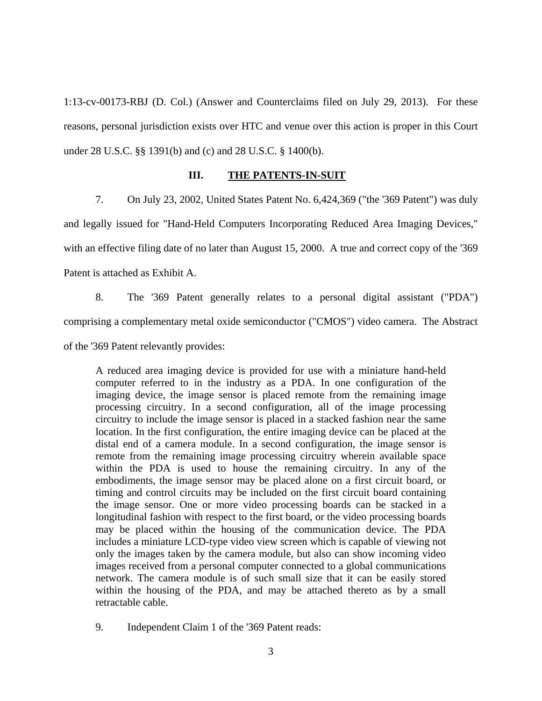1:13-cv-00173-RBJ (D. Col.) (Answer and Counterclaims filed on July 29, 2013). For these reasons, personal jurisdiction exists over HTC and venue over this action is proper in this Court under 28 U.S.C. §§ 1391(b) and (c) and 28 U.S.C. § 1400(b).

### **III. THE PATENTS-IN-SUIT**

7. On July 23, 2002, United States Patent No. 6,424,369 ("the '369 Patent") was duly and legally issued for "Hand-Held Computers Incorporating Reduced Area Imaging Devices," with an effective filing date of no later than August 15, 2000. A true and correct copy of the '369 Patent is attached as Exhibit A.

8. The '369 Patent generally relates to a personal digital assistant ("PDA") comprising a complementary metal oxide semiconductor ("CMOS") video camera. The Abstract of the '369 Patent relevantly provides:

A reduced area imaging device is provided for use with a miniature hand-held computer referred to in the industry as a PDA. In one configuration of the imaging device, the image sensor is placed remote from the remaining image processing circuitry. In a second configuration, all of the image processing circuitry to include the image sensor is placed in a stacked fashion near the same location. In the first configuration, the entire imaging device can be placed at the distal end of a camera module. In a second configuration, the image sensor is remote from the remaining image processing circuitry wherein available space within the PDA is used to house the remaining circuitry. In any of the embodiments, the image sensor may be placed alone on a first circuit board, or timing and control circuits may be included on the first circuit board containing the image sensor. One or more video processing boards can be stacked in a longitudinal fashion with respect to the first board, or the video processing boards may be placed within the housing of the communication device. The PDA includes a miniature LCD-type video view screen which is capable of viewing not only the images taken by the camera module, but also can show incoming video images received from a personal computer connected to a global communications network. The camera module is of such small size that it can be easily stored within the housing of the PDA, and may be attached thereto as by a small retractable cable.

9. Independent Claim 1 of the '369 Patent reads: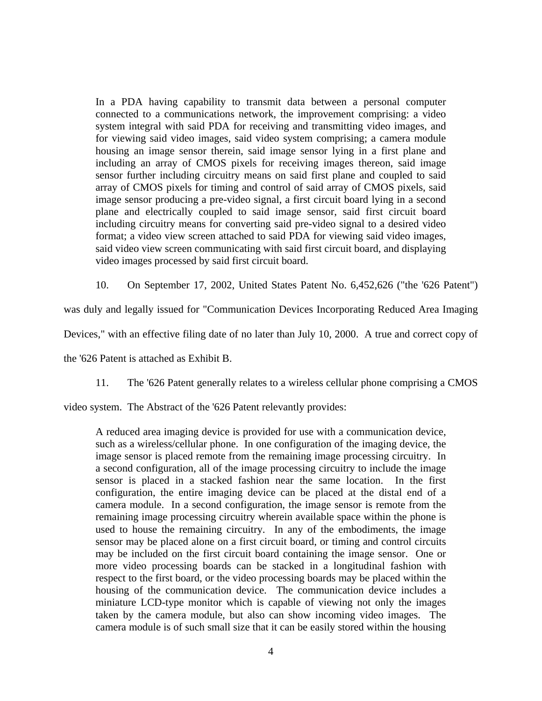In a PDA having capability to transmit data between a personal computer connected to a communications network, the improvement comprising: a video system integral with said PDA for receiving and transmitting video images, and for viewing said video images, said video system comprising; a camera module housing an image sensor therein, said image sensor lying in a first plane and including an array of CMOS pixels for receiving images thereon, said image sensor further including circuitry means on said first plane and coupled to said array of CMOS pixels for timing and control of said array of CMOS pixels, said image sensor producing a pre-video signal, a first circuit board lying in a second plane and electrically coupled to said image sensor, said first circuit board including circuitry means for converting said pre-video signal to a desired video format; a video view screen attached to said PDA for viewing said video images, said video view screen communicating with said first circuit board, and displaying video images processed by said first circuit board.

10. On September 17, 2002, United States Patent No. 6,452,626 ("the '626 Patent")

was duly and legally issued for "Communication Devices Incorporating Reduced Area Imaging

Devices," with an effective filing date of no later than July 10, 2000. A true and correct copy of

the '626 Patent is attached as Exhibit B.

11. The '626 Patent generally relates to a wireless cellular phone comprising a CMOS

video system. The Abstract of the '626 Patent relevantly provides:

A reduced area imaging device is provided for use with a communication device, such as a wireless/cellular phone. In one configuration of the imaging device, the image sensor is placed remote from the remaining image processing circuitry. In a second configuration, all of the image processing circuitry to include the image sensor is placed in a stacked fashion near the same location. In the first configuration, the entire imaging device can be placed at the distal end of a camera module. In a second configuration, the image sensor is remote from the remaining image processing circuitry wherein available space within the phone is used to house the remaining circuitry. In any of the embodiments, the image sensor may be placed alone on a first circuit board, or timing and control circuits may be included on the first circuit board containing the image sensor. One or more video processing boards can be stacked in a longitudinal fashion with respect to the first board, or the video processing boards may be placed within the housing of the communication device. The communication device includes a miniature LCD-type monitor which is capable of viewing not only the images taken by the camera module, but also can show incoming video images. The camera module is of such small size that it can be easily stored within the housing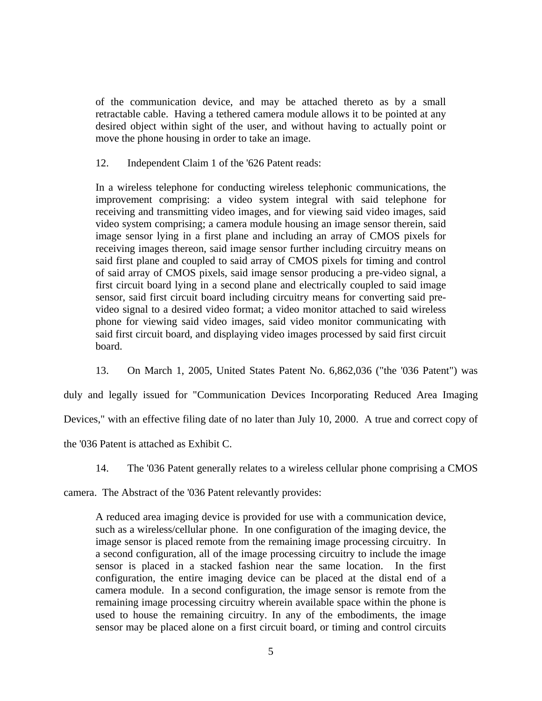of the communication device, and may be attached thereto as by a small retractable cable. Having a tethered camera module allows it to be pointed at any desired object within sight of the user, and without having to actually point or move the phone housing in order to take an image.

12. Independent Claim 1 of the '626 Patent reads:

In a wireless telephone for conducting wireless telephonic communications, the improvement comprising: a video system integral with said telephone for receiving and transmitting video images, and for viewing said video images, said video system comprising; a camera module housing an image sensor therein, said image sensor lying in a first plane and including an array of CMOS pixels for receiving images thereon, said image sensor further including circuitry means on said first plane and coupled to said array of CMOS pixels for timing and control of said array of CMOS pixels, said image sensor producing a pre-video signal, a first circuit board lying in a second plane and electrically coupled to said image sensor, said first circuit board including circuitry means for converting said prevideo signal to a desired video format; a video monitor attached to said wireless phone for viewing said video images, said video monitor communicating with said first circuit board, and displaying video images processed by said first circuit board.

13. On March 1, 2005, United States Patent No. 6,862,036 ("the '036 Patent") was duly and legally issued for "Communication Devices Incorporating Reduced Area Imaging Devices," with an effective filing date of no later than July 10, 2000. A true and correct copy of

the '036 Patent is attached as Exhibit C.

14. The '036 Patent generally relates to a wireless cellular phone comprising a CMOS

camera. The Abstract of the '036 Patent relevantly provides:

A reduced area imaging device is provided for use with a communication device, such as a wireless/cellular phone. In one configuration of the imaging device, the image sensor is placed remote from the remaining image processing circuitry. In a second configuration, all of the image processing circuitry to include the image sensor is placed in a stacked fashion near the same location. In the first configuration, the entire imaging device can be placed at the distal end of a camera module. In a second configuration, the image sensor is remote from the remaining image processing circuitry wherein available space within the phone is used to house the remaining circuitry. In any of the embodiments, the image sensor may be placed alone on a first circuit board, or timing and control circuits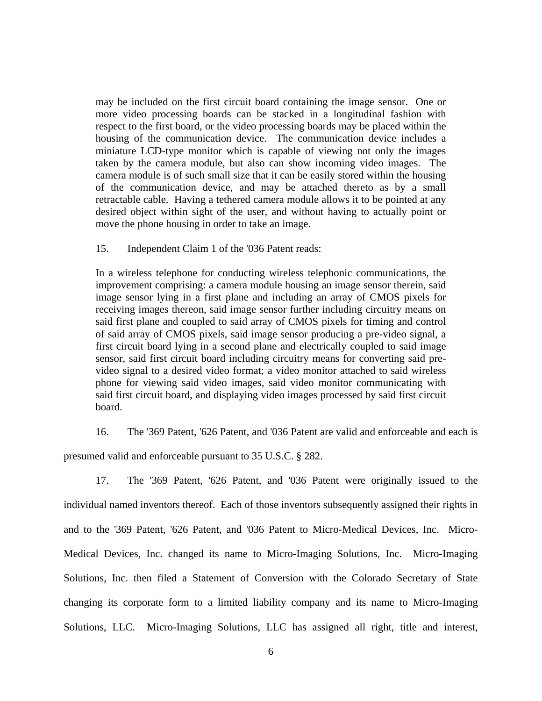may be included on the first circuit board containing the image sensor. One or more video processing boards can be stacked in a longitudinal fashion with respect to the first board, or the video processing boards may be placed within the housing of the communication device. The communication device includes a miniature LCD-type monitor which is capable of viewing not only the images taken by the camera module, but also can show incoming video images. The camera module is of such small size that it can be easily stored within the housing of the communication device, and may be attached thereto as by a small retractable cable. Having a tethered camera module allows it to be pointed at any desired object within sight of the user, and without having to actually point or move the phone housing in order to take an image.

15. Independent Claim 1 of the '036 Patent reads:

In a wireless telephone for conducting wireless telephonic communications, the improvement comprising: a camera module housing an image sensor therein, said image sensor lying in a first plane and including an array of CMOS pixels for receiving images thereon, said image sensor further including circuitry means on said first plane and coupled to said array of CMOS pixels for timing and control of said array of CMOS pixels, said image sensor producing a pre-video signal, a first circuit board lying in a second plane and electrically coupled to said image sensor, said first circuit board including circuitry means for converting said prevideo signal to a desired video format; a video monitor attached to said wireless phone for viewing said video images, said video monitor communicating with said first circuit board, and displaying video images processed by said first circuit board.

16. The '369 Patent, '626 Patent, and '036 Patent are valid and enforceable and each is

presumed valid and enforceable pursuant to 35 U.S.C. § 282.

17. The '369 Patent, '626 Patent, and '036 Patent were originally issued to the individual named inventors thereof. Each of those inventors subsequently assigned their rights in and to the '369 Patent, '626 Patent, and '036 Patent to Micro-Medical Devices, Inc. Micro-Medical Devices, Inc. changed its name to Micro-Imaging Solutions, Inc. Micro-Imaging Solutions, Inc. then filed a Statement of Conversion with the Colorado Secretary of State changing its corporate form to a limited liability company and its name to Micro-Imaging Solutions, LLC. Micro-Imaging Solutions, LLC has assigned all right, title and interest,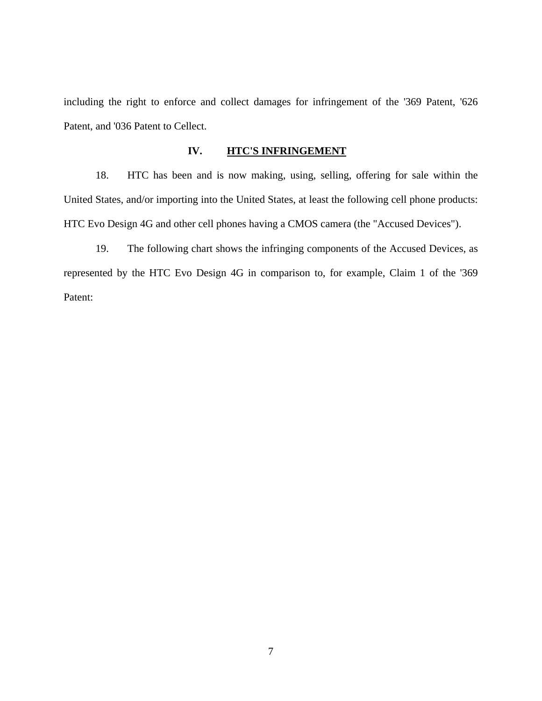including the right to enforce and collect damages for infringement of the '369 Patent, '626 Patent, and '036 Patent to Cellect.

# **IV. HTC'S INFRINGEMENT**

18. HTC has been and is now making, using, selling, offering for sale within the United States, and/or importing into the United States, at least the following cell phone products: HTC Evo Design 4G and other cell phones having a CMOS camera (the "Accused Devices").

19. The following chart shows the infringing components of the Accused Devices, as represented by the HTC Evo Design 4G in comparison to, for example, Claim 1 of the '369 Patent: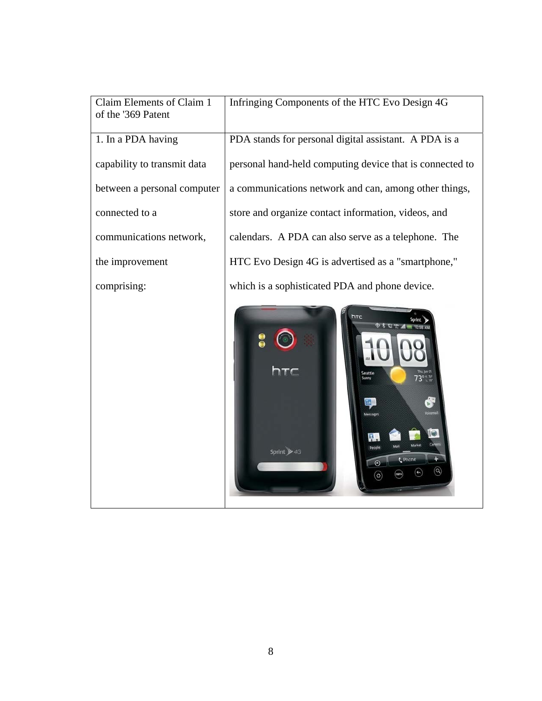| Claim Elements of Claim 1<br>of the '369 Patent | Infringing Components of the HTC Evo Design 4G                                                                               |
|-------------------------------------------------|------------------------------------------------------------------------------------------------------------------------------|
| 1. In a PDA having                              | PDA stands for personal digital assistant. A PDA is a                                                                        |
| capability to transmit data                     | personal hand-held computing device that is connected to                                                                     |
| between a personal computer                     | a communications network and can, among other things,                                                                        |
| connected to a                                  | store and organize contact information, videos, and                                                                          |
| communications network,                         | calendars. A PDA can also serve as a telephone. The                                                                          |
| the improvement                                 | HTC Evo Design 4G is advertised as a "smartphone,"                                                                           |
| comprising:                                     | which is a sophisticated PDA and phone device.                                                                               |
|                                                 | htc<br>htc<br>Thu, Jun 01<br>73 <sup>0 H, 76</sup><br><b>Seattle</b><br>10<br>Sprint > 4G<br>t Phone<br>$^{\copyright}$<br>¢ |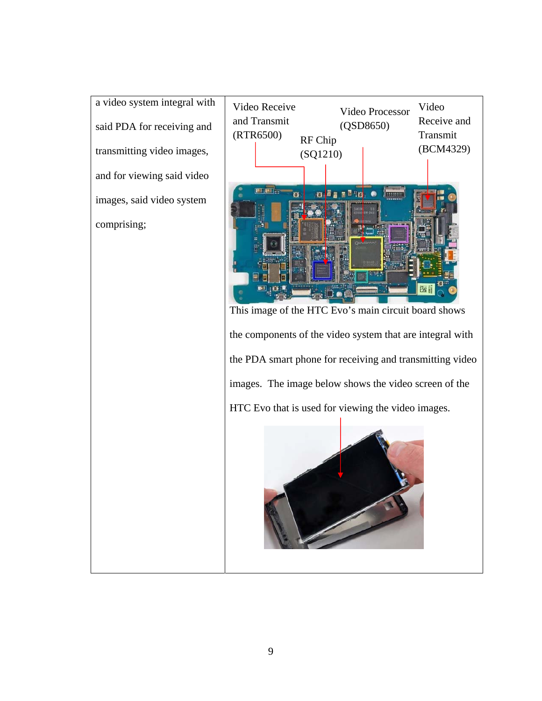a video system integral with said PDA for receiving and transmitting video images, and for viewing said video images, said video system comprising;

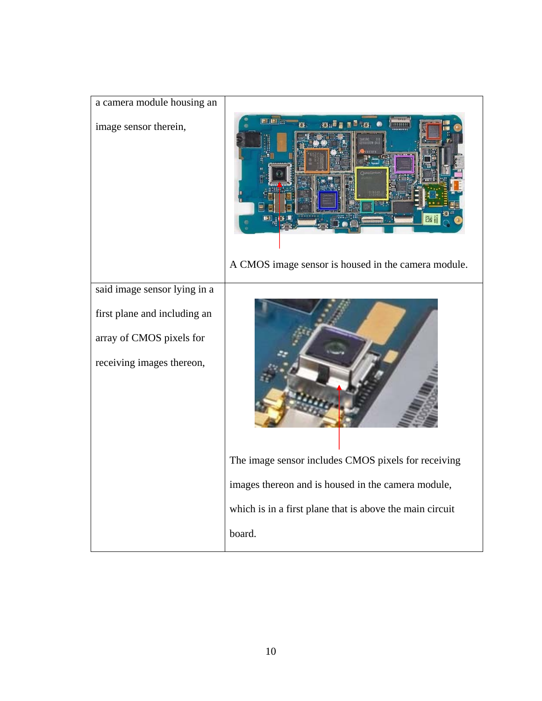| a camera module housing an                                                            |                                                          |
|---------------------------------------------------------------------------------------|----------------------------------------------------------|
| image sensor therein,                                                                 |                                                          |
|                                                                                       | A CMOS image sensor is housed in the camera module.      |
| said image sensor lying in a                                                          |                                                          |
| first plane and including an<br>array of CMOS pixels for<br>receiving images thereon, |                                                          |
|                                                                                       | The image sensor includes CMOS pixels for receiving      |
|                                                                                       | images thereon and is housed in the camera module,       |
|                                                                                       | which is in a first plane that is above the main circuit |
|                                                                                       | board.                                                   |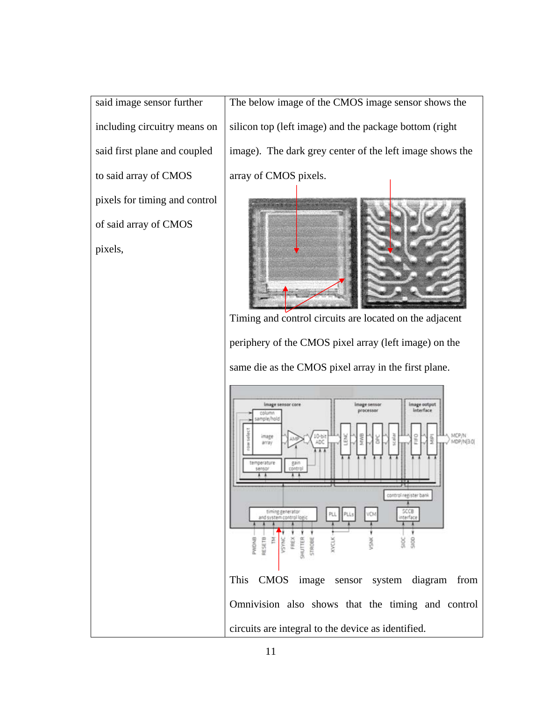said image sensor further including circuitry means on said first plane and coupled to said array of CMOS pixels for timing and control of said array of CMOS pixels,

The below image of the CMOS image sensor shows the silicon top (left image) and the package bottom (right image). The dark grey center of the left image shows the array of CMOS pixels.



Timing and control circuits are located on the adjacent periphery of the CMOS pixel array (left image) on the same die as the CMOS pixel array in the first plane.

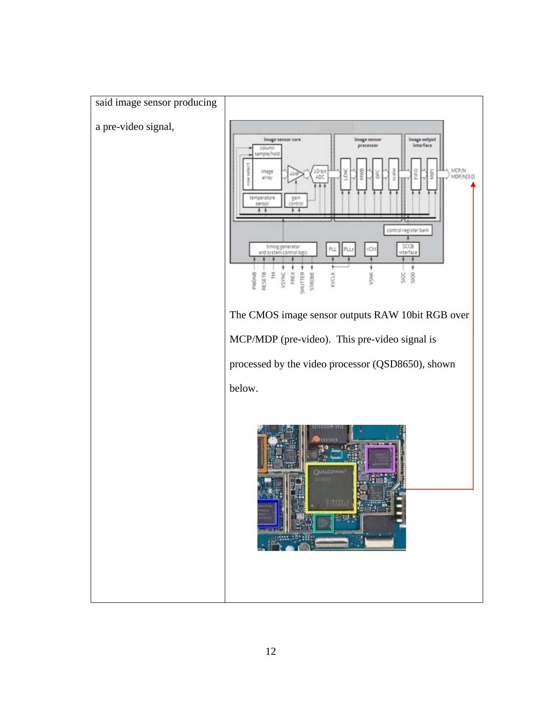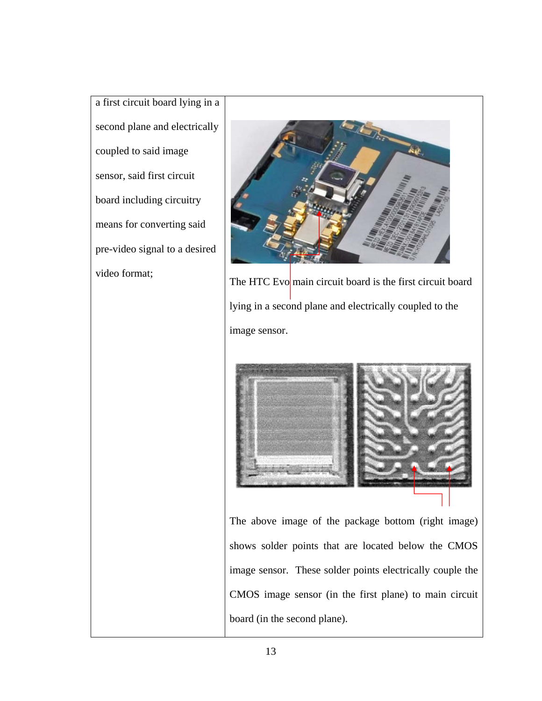a first circuit board lying in a second plane and electrically coupled to said image sensor, said first circuit board including circuitry means for converting said pre-video signal to a desired



video format;<br>The HTC Evo main circuit board is the first circuit board lying in a second plane and electrically coupled to the image sensor.



The above image of the package bottom (right image) shows solder points that are located below the CMOS image sensor. These solder points electrically couple the CMOS image sensor (in the first plane) to main circuit board (in the second plane).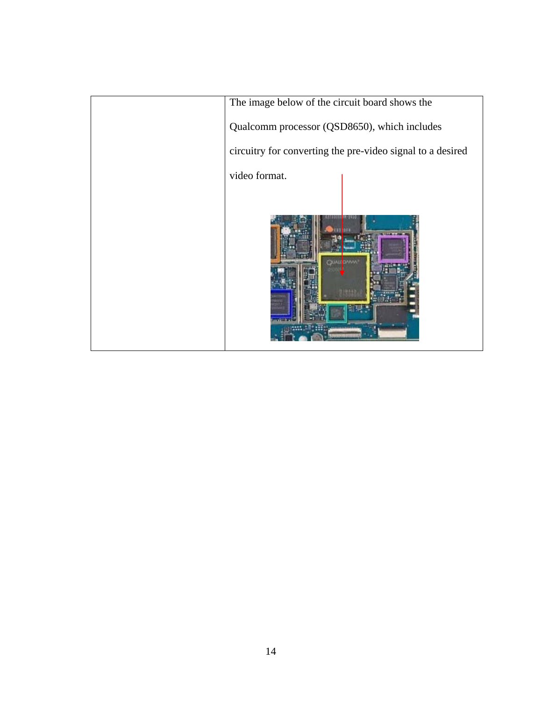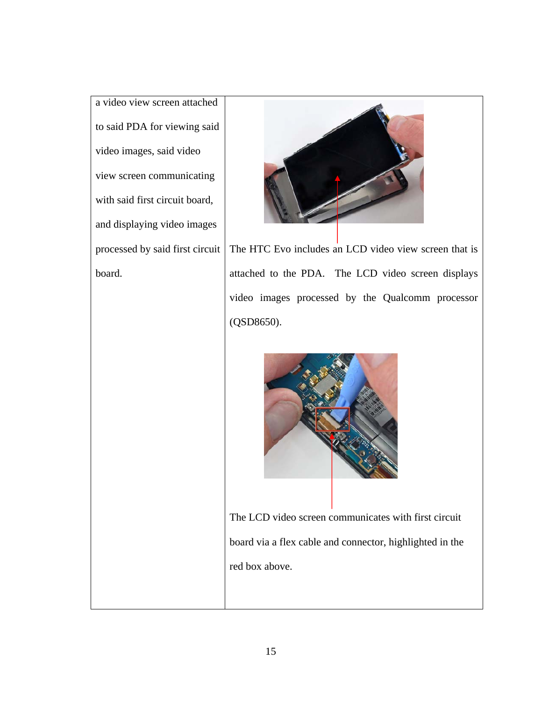a video view screen attached to said PDA for viewing said video images, said video view screen communicating with said first circuit board, and displaying video images processed by said first circuit board.



The HTC Evo includes an LCD video view screen that is attached to the PDA. The LCD video screen displays video images processed by the Qualcomm processor (QSD8650).



The LCD video screen communicates with first circuit board via a flex cable and connector, highlighted in the red box above.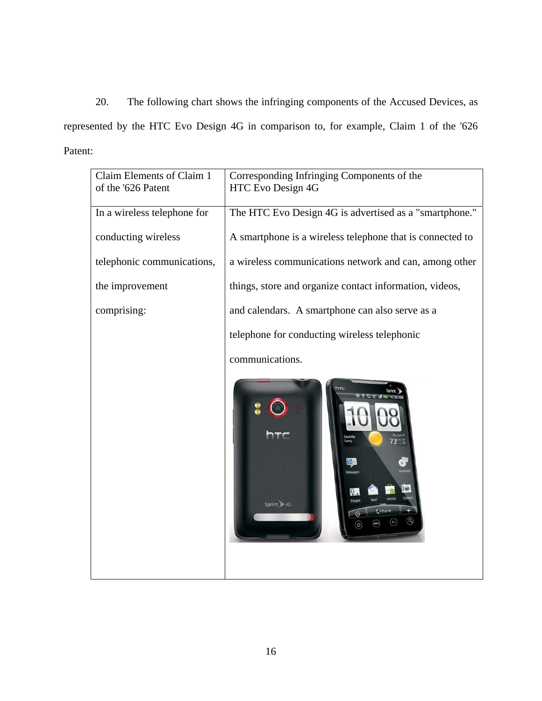20. The following chart shows the infringing components of the Accused Devices, as represented by the HTC Evo Design 4G in comparison to, for example, Claim 1 of the '626 Patent:

| Claim Elements of Claim 1   | Corresponding Infringing Components of the                 |
|-----------------------------|------------------------------------------------------------|
| of the '626 Patent          | HTC Evo Design 4G                                          |
| In a wireless telephone for | The HTC Evo Design 4G is advertised as a "smartphone."     |
| conducting wireless         | A smartphone is a wireless telephone that is connected to  |
| telephonic communications,  | a wireless communications network and can, among other     |
| the improvement             | things, store and organize contact information, videos,    |
| comprising:                 | and calendars. A smartphone can also serve as a            |
|                             | telephone for conducting wireless telephonic               |
|                             | communications.                                            |
|                             | hтc<br>5<br>hTC<br>Seattle<br>73° 170<br>10<br>Sprint & 4G |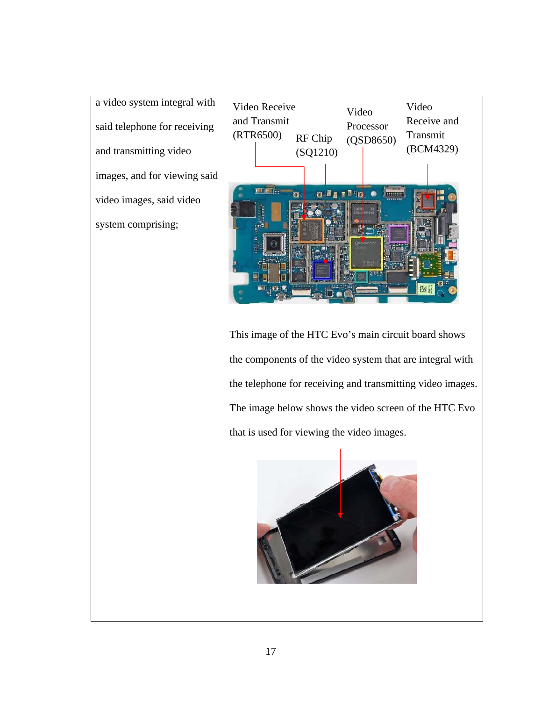a video system integral with said telephone for receiving and transmitting video images, and for viewing said video images, said video system comprising;



This image of the HTC Evo's main circuit board shows the components of the video system that are integral with the telephone for receiving and transmitting video images. The image below shows the video screen of the HTC Evo that is used for viewing the video images.

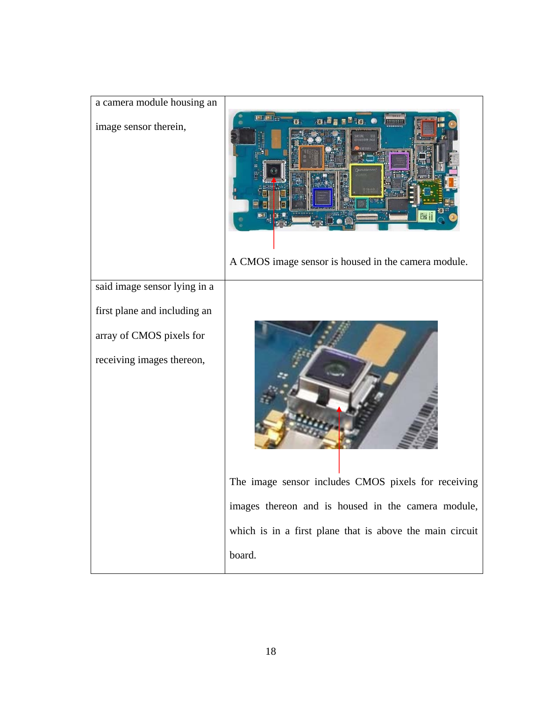| a camera module housing an   |                                                               |
|------------------------------|---------------------------------------------------------------|
| image sensor therein,        | . G. 5<br>A CMOS image sensor is housed in the camera module. |
| said image sensor lying in a |                                                               |
| first plane and including an |                                                               |
| array of CMOS pixels for     |                                                               |
| receiving images thereon,    |                                                               |
|                              | The image sensor includes CMOS pixels for receiving           |
|                              | images thereon and is housed in the camera module,            |
|                              | which is in a first plane that is above the main circuit      |
|                              | board.                                                        |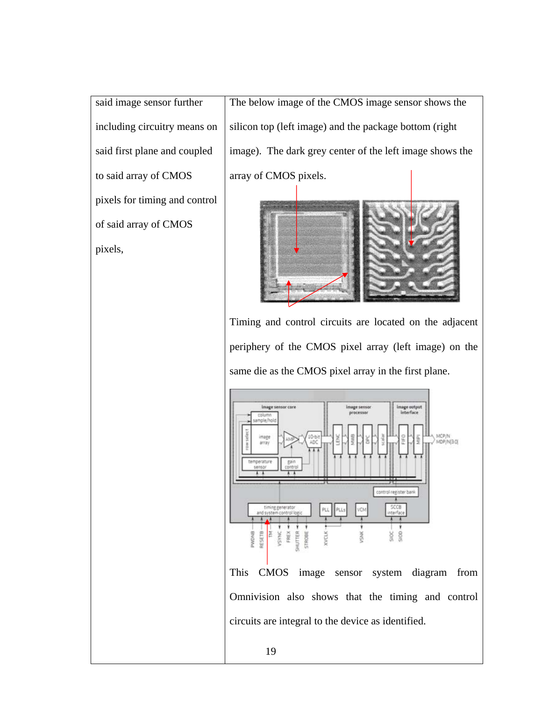said image sensor further including circuitry means on said first plane and coupled to said array of CMOS pixels for timing and control of said array of CMOS pixels,

The below image of the CMOS image sensor shows the silicon top (left image) and the package bottom (right image). The dark grey center of the left image shows the array of CMOS pixels.



Timing and control circuits are located on the adjacent periphery of the CMOS pixel array (left image) on the same die as the CMOS pixel array in the first plane.

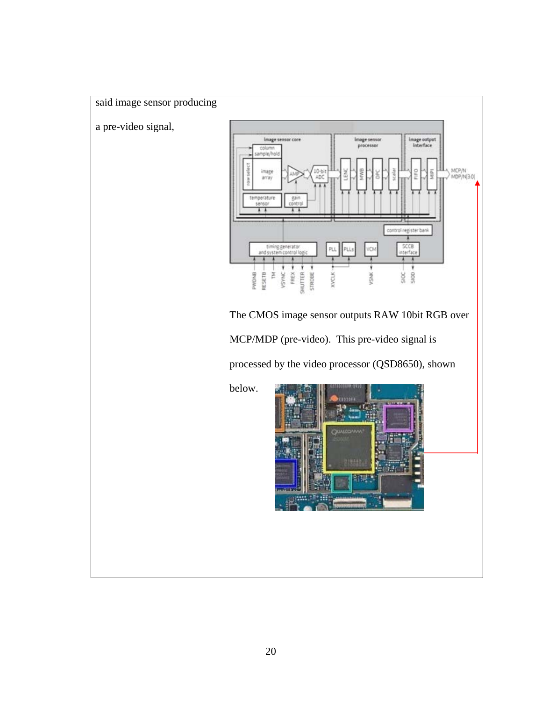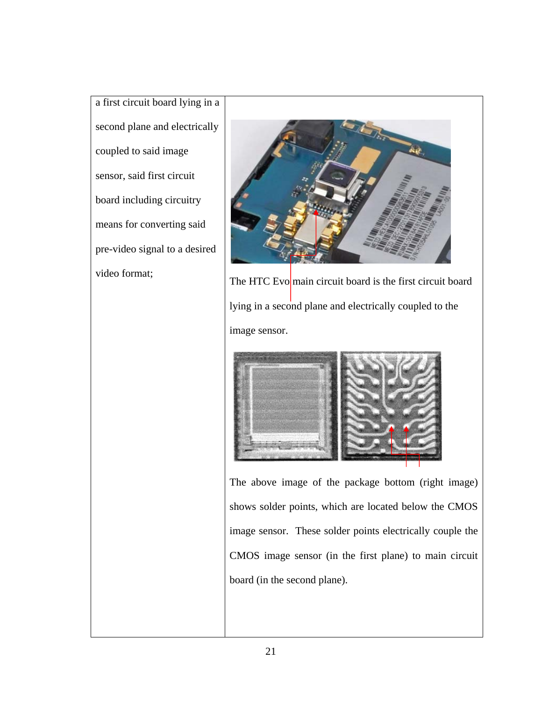a first circuit board lying in a second plane and electrically coupled to said image sensor, said first circuit board including circuitry means for converting said pre-video signal to a desired



video format;<br>
The HTC Evo main circuit board is the first circuit board lying in a second plane and electrically coupled to the image sensor.



The above image of the package bottom (right image) shows solder points, which are located below the CMOS image sensor. These solder points electrically couple the CMOS image sensor (in the first plane) to main circuit board (in the second plane).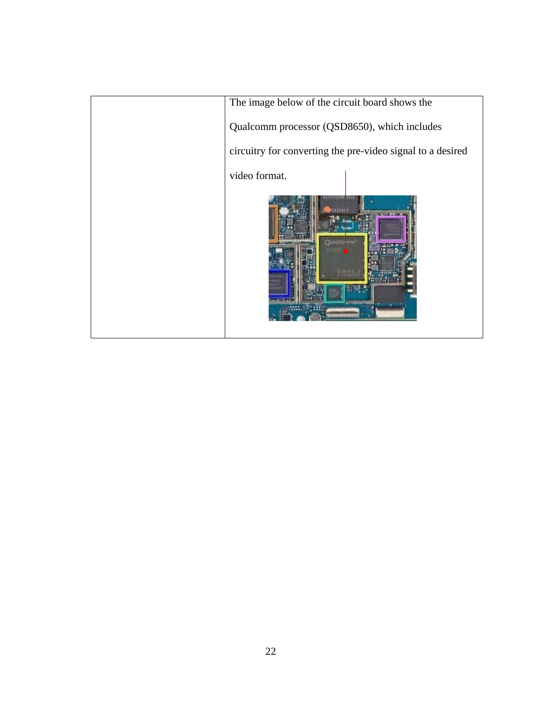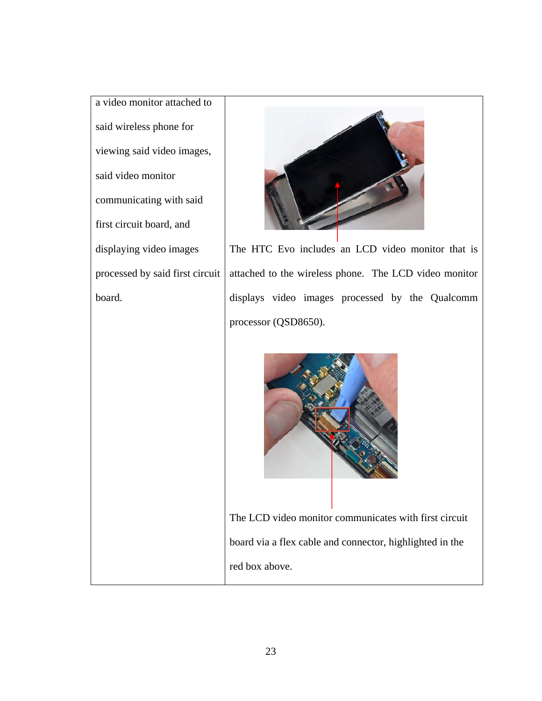a video monitor attached to said wireless phone for viewing said video images, said video monitor communicating with said first circuit board, and displaying video images processed by said first circuit board.



The HTC Evo includes an LCD video monitor that is attached to the wireless phone. The LCD video monitor displays video images processed by the Qualcomm processor (QSD8650).



The LCD video monitor communicates with first circuit board via a flex cable and connector, highlighted in the red box above.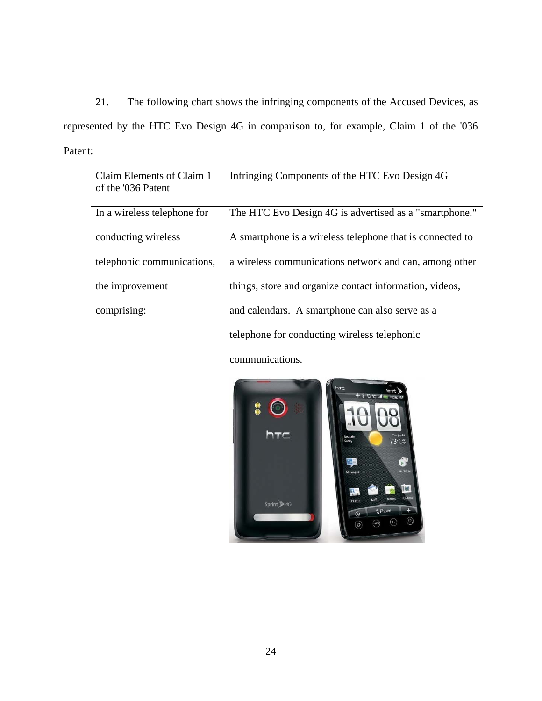21. The following chart shows the infringing components of the Accused Devices, as represented by the HTC Evo Design 4G in comparison to, for example, Claim 1 of the '036 Patent:

| Claim Elements of Claim 1<br>of the '036 Patent | Infringing Components of the HTC Evo Design 4G            |
|-------------------------------------------------|-----------------------------------------------------------|
| In a wireless telephone for                     | The HTC Evo Design 4G is advertised as a "smartphone."    |
| conducting wireless                             | A smartphone is a wireless telephone that is connected to |
| telephonic communications,                      | a wireless communications network and can, among other    |
| the improvement                                 | things, store and organize contact information, videos,   |
| comprising:                                     | and calendars. A smartphone can also serve as a           |
|                                                 | telephone for conducting wireless telephonic              |
|                                                 | communications.                                           |
|                                                 | Seattle<br>73 ***<br>Ď,<br>Sprint >4G                     |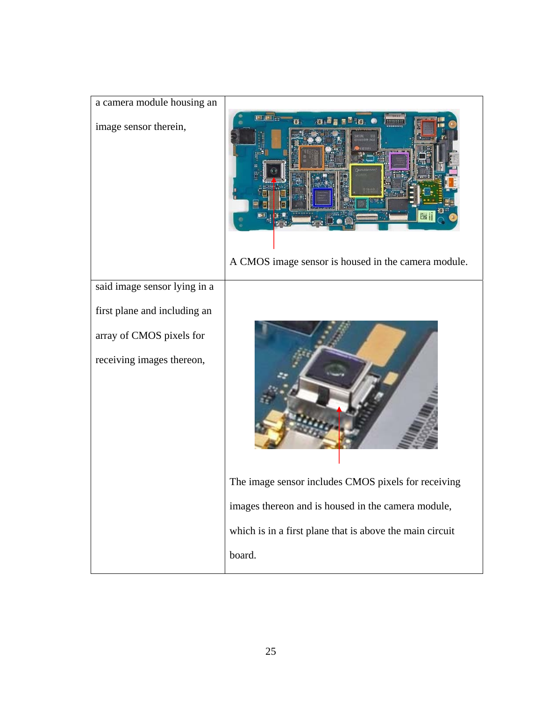| a camera module housing an   |                                                                         |
|------------------------------|-------------------------------------------------------------------------|
| image sensor therein,        | <b>LETTIFALL</b><br>A CMOS image sensor is housed in the camera module. |
| said image sensor lying in a |                                                                         |
| first plane and including an |                                                                         |
| array of CMOS pixels for     |                                                                         |
| receiving images thereon,    |                                                                         |
|                              | The image sensor includes CMOS pixels for receiving                     |
|                              | images thereon and is housed in the camera module,                      |
|                              | which is in a first plane that is above the main circuit                |
|                              | board.                                                                  |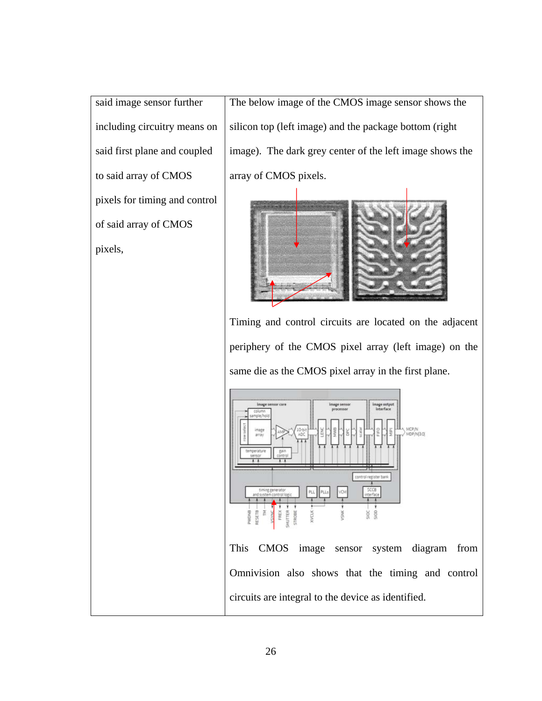said image sensor further including circuitry means on said first plane and coupled to said array of CMOS pixels for timing and control of said array of CMOS pixels,

The below image of the CMOS image sensor shows the silicon top (left image) and the package bottom (right image). The dark grey center of the left image shows the array of CMOS pixels.



Timing and control circuits are located on the adjacent periphery of the CMOS pixel array (left image) on the same die as the CMOS pixel array in the first plane.



Omnivision also shows that the timing and control circuits are integral to the device as identified.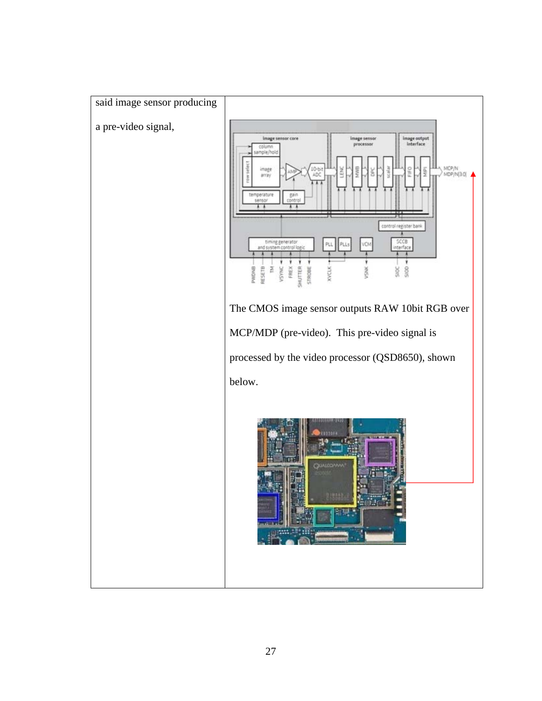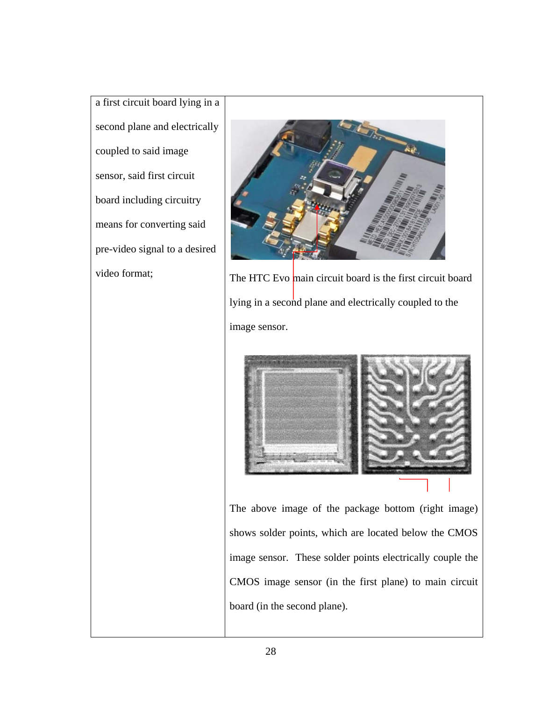a first circuit board lying in a second plane and electrically coupled to said image sensor, said first circuit board including circuitry means for converting said pre-video signal to a desired



video format;<br>The HTC Evo main circuit board is the first circuit board lying in a second plane and electrically coupled to the image sensor.



The above image of the package bottom (right image) shows solder points, which are located below the CMOS image sensor. These solder points electrically couple the CMOS image sensor (in the first plane) to main circuit board (in the second plane).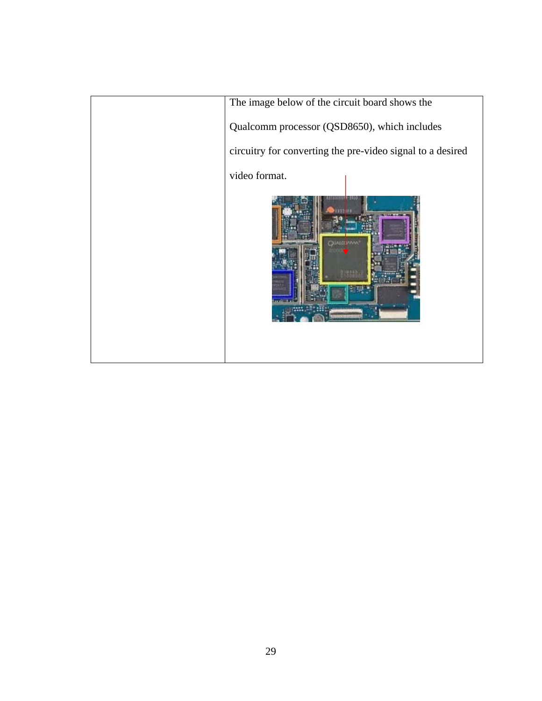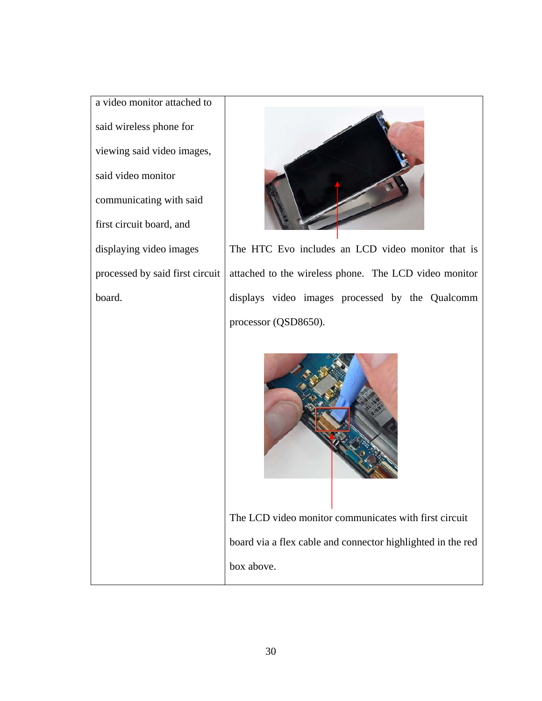a video monitor attached to said wireless phone for viewing said video images, said video monitor communicating with said first circuit board, and displaying video images processed by said first circuit board.



The HTC Evo includes an LCD video monitor that is attached to the wireless phone. The LCD video monitor displays video images processed by the Qualcomm processor (QSD8650).



The LCD video monitor communicates with first circuit board via a flex cable and connector highlighted in the red box above.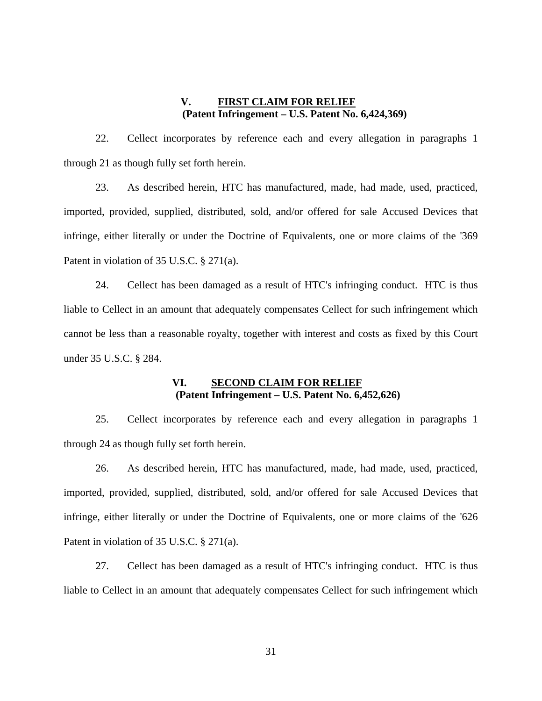# **V. FIRST CLAIM FOR RELIEF (Patent Infringement – U.S. Patent No. 6,424,369)**

22. Cellect incorporates by reference each and every allegation in paragraphs 1 through 21 as though fully set forth herein.

23. As described herein, HTC has manufactured, made, had made, used, practiced, imported, provided, supplied, distributed, sold, and/or offered for sale Accused Devices that infringe, either literally or under the Doctrine of Equivalents, one or more claims of the '369 Patent in violation of 35 U.S.C. § 271(a).

24. Cellect has been damaged as a result of HTC's infringing conduct. HTC is thus liable to Cellect in an amount that adequately compensates Cellect for such infringement which cannot be less than a reasonable royalty, together with interest and costs as fixed by this Court under 35 U.S.C. § 284.

### **VI. SECOND CLAIM FOR RELIEF (Patent Infringement – U.S. Patent No. 6,452,626)**

25. Cellect incorporates by reference each and every allegation in paragraphs 1 through 24 as though fully set forth herein.

26. As described herein, HTC has manufactured, made, had made, used, practiced, imported, provided, supplied, distributed, sold, and/or offered for sale Accused Devices that infringe, either literally or under the Doctrine of Equivalents, one or more claims of the '626 Patent in violation of 35 U.S.C. § 271(a).

27. Cellect has been damaged as a result of HTC's infringing conduct. HTC is thus liable to Cellect in an amount that adequately compensates Cellect for such infringement which

31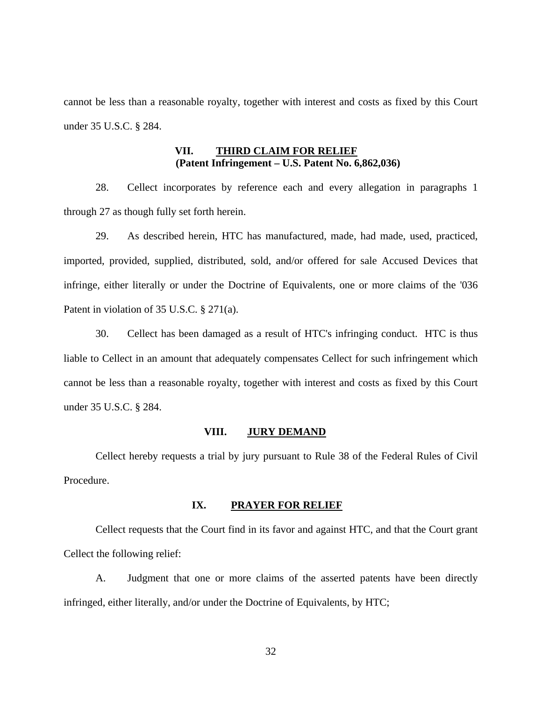cannot be less than a reasonable royalty, together with interest and costs as fixed by this Court under 35 U.S.C. § 284.

## **VII. THIRD CLAIM FOR RELIEF (Patent Infringement – U.S. Patent No. 6,862,036)**

28. Cellect incorporates by reference each and every allegation in paragraphs 1 through 27 as though fully set forth herein.

29. As described herein, HTC has manufactured, made, had made, used, practiced, imported, provided, supplied, distributed, sold, and/or offered for sale Accused Devices that infringe, either literally or under the Doctrine of Equivalents, one or more claims of the '036 Patent in violation of 35 U.S.C. § 271(a).

30. Cellect has been damaged as a result of HTC's infringing conduct. HTC is thus liable to Cellect in an amount that adequately compensates Cellect for such infringement which cannot be less than a reasonable royalty, together with interest and costs as fixed by this Court under 35 U.S.C. § 284.

#### **VIII. JURY DEMAND**

 Cellect hereby requests a trial by jury pursuant to Rule 38 of the Federal Rules of Civil Procedure.

#### **IX. PRAYER FOR RELIEF**

 Cellect requests that the Court find in its favor and against HTC, and that the Court grant Cellect the following relief:

A. Judgment that one or more claims of the asserted patents have been directly infringed, either literally, and/or under the Doctrine of Equivalents, by HTC;

32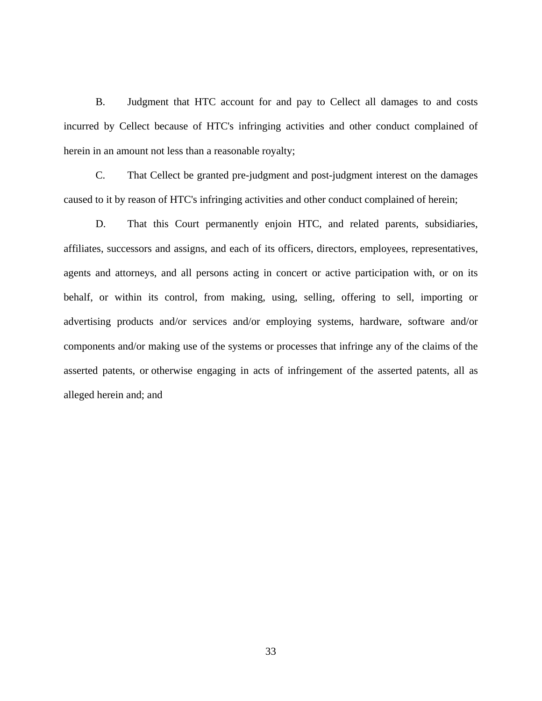B. Judgment that HTC account for and pay to Cellect all damages to and costs incurred by Cellect because of HTC's infringing activities and other conduct complained of herein in an amount not less than a reasonable royalty;

C. That Cellect be granted pre-judgment and post-judgment interest on the damages caused to it by reason of HTC's infringing activities and other conduct complained of herein;

D. That this Court permanently enjoin HTC, and related parents, subsidiaries, affiliates, successors and assigns, and each of its officers, directors, employees, representatives, agents and attorneys, and all persons acting in concert or active participation with, or on its behalf, or within its control, from making, using, selling, offering to sell, importing or advertising products and/or services and/or employing systems, hardware, software and/or components and/or making use of the systems or processes that infringe any of the claims of the asserted patents, or otherwise engaging in acts of infringement of the asserted patents, all as alleged herein and; and